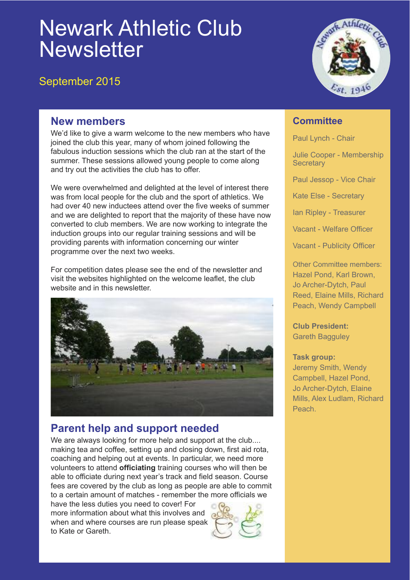# Newark Athletic Club **Newsletter**

### September 2015



#### **New members**

We'd like to give a warm welcome to the new members who have joined the club this year, many of whom joined following the fabulous induction sessions which the club ran at the start of the summer. These sessions allowed young people to come along and try out the activities the club has to offer.

We were overwhelmed and delighted at the level of interest there was from local people for the club and the sport of athletics. We had over 40 new inductees attend over the five weeks of summer and we are delighted to report that the majority of these have now converted to club members. We are now working to integrate the induction groups into our regular training sessions and will be providing parents with information concerning our winter programme over the next two weeks.

For competition dates please see the end of the newsletter and visit the websites highlighted on the welcome leaflet, the club website and in this newsletter.



## **Parent help and support needed**

We are always looking for more help and support at the club.... making tea and coffee, setting up and closing down, first aid rota, coaching and helping out at events. In particular, we need more volunteers to attend **officiating** training courses who will then be able to officiate during next year's track and field season. Course fees are covered by the club as long as people are able to commit to a certain amount of matches - remember the more officials we

have the less duties you need to cover! For more information about what this involves and when and where courses are run please speak to Kate or Gareth.



#### **Committee**

Paul Lynch - Chair

Julie Cooper - Membership **Secretary** 

Paul Jessop - Vice Chair

Kate Else - Secretary

Ian Ripley - Treasurer

Vacant - Welfare Officer

Vacant - Publicity Officer

Other Committee members: Hazel Pond, Karl Brown, Jo Archer-Dytch, Paul Reed, Elaine Mills, Richard Peach, Wendy Campbell

**Club President:** Gareth Bagguley

#### **Task group:**

Jeremy Smith, Wendy Campbell, Hazel Pond, Jo Archer-Dytch, Elaine Mills, Alex Ludlam, Richard Peach.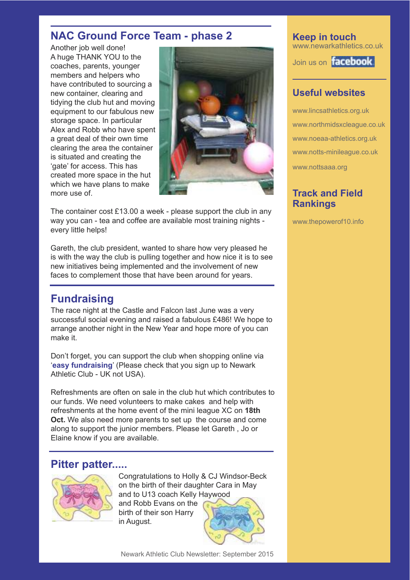#### **NAC Ground Force Team - phase 2**

Another job well done! A huge THANK YOU to the coaches, parents, younger members and helpers who have contributed to sourcing a new container, clearing and tidying the club hut and moving equipment to our fabulous new storage space. In particular Alex and Robb who have spent a great deal of their own time clearing the area the container is situated and creating the 'gate' for access. This has created more space in the hut which we have plans to make more use of.



The container cost £13.00 a week - please support the club in any way you can - tea and coffee are available most training nights every little helps!

Gareth, the club president, wanted to share how very pleased he is with the way the club is pulling together and how nice it is to see new initiatives being implemented and the involvement of new faces to complement those that have been around for years.

### **Fundraising**

The race night at the Castle and Falcon last June was a very successful social evening and raised a fabulous £486! We hope to arrange another night in the New Year and hope more of you can make it.

Don't forget, you can support the club when shopping online via '**easy fundraising**' (Please check that you sign up to Newark Athletic Club - UK not USA).

Refreshments are often on sale in the club hut which contributes to our funds. We need volunteers to make cakes and help with refreshments at the home event of the mini league XC on **18th Oct.** We also need more parents to set up the course and come along to support the junior members. Please let Gareth , Jo or Elaine know if you are available.

#### **Pitter patter.....**



Congratulations to Holly & CJ Windsor-Beck on the birth of their daughter Cara in May and to U13 coach Kelly Haywood

and Robb Evans on the birth of their son Harry in August.



**Keep in touch** www.newarkathletics.co.uk

Join us on **facebook** 

#### **Useful websites**

www.lincsathletics.org.uk www.northmidsxcleague.co.uk www.noeaa-athletics.org.uk www.notts-minileague.co.uk www.nottsaaa.org

#### **Track and Field Rankings**

www.thepowerof10.info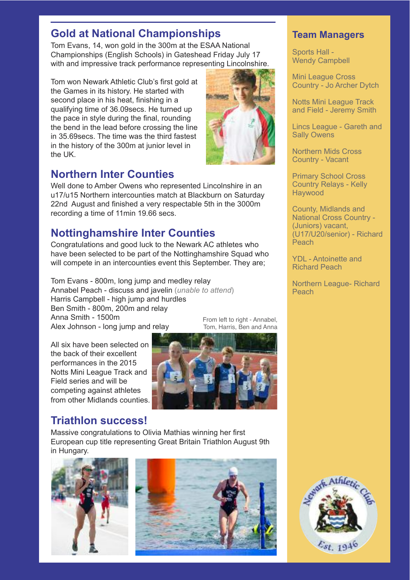## **Gold at National Championships**

Tom Evans, 14, won gold in the 300m at the ESAA National Championships (English Schools) in Gateshead Friday July 17 with and impressive track performance representing Lincolnshire.

Tom won Newark Athletic Club's first gold at the Games in its history. He started with second place in his heat, finishing in a qualifying time of 36.09secs. He turned up the pace in style during the final, rounding the bend in the lead before crossing the line in 35.69secs. The time was the third fastest in the history of the 300m at junior level in the UK.

### **Northern Inter Counties**

Well done to Amber Owens who represented Lincolnshire in an u17/u15 Northern intercounties match at Blackburn on Saturday 22nd August and finished a very respectable 5th in the 3000m recording a time of 11min 19.66 secs.

### **Nottinghamshire Inter Counties**

Congratulations and good luck to the Newark AC athletes who have been selected to be part of the Nottinghamshire Squad who will compete in an intercounties event this September. They are;

Tom Evans - 800m, long jump and medley relay Annabel Peach - discuss and javelin (*unable to attend*) Harris Campbell - high jump and hurdles Ben Smith - 800m, 200m and relay Anna Smith - 1500m Alex Johnson - long jump and relay From left to right - Annabel,

All six have been selected on the back of their excellent performances in the 2015 Notts Mini League Track and Field series and will be competing against athletes from other Midlands counties.



### **Triathlon success!**

Massive congratulations to Olivia Mathias winning her first European cup title representing Great Britain Triathlon August 9th in Hungary.





#### **Team Managers**

Sports Hall - Wendy Campbell

Mini League Cross Country - Jo Archer Dytch

Notts Mini League Track and Field - Jeremy Smith

Lincs League - Gareth and Sally Owens

Northern Mids Cross Country - Vacant

Primary School Cross Country Relays - Kelly Haywood

County, Midlands and National Cross Country - (Juniors) vacant, (U17/U20/senior) - Richard Peach

YDL - Antoinette and Richard Peach

Northern League- Richard Peach

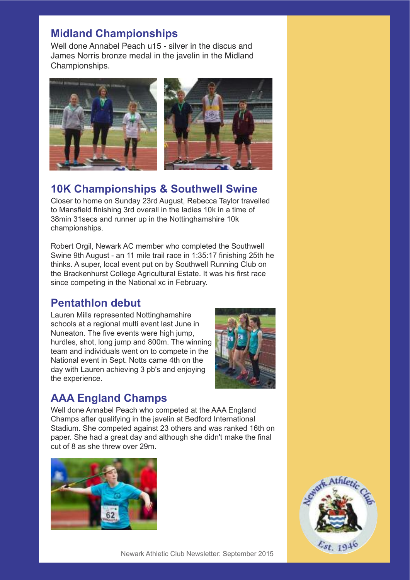### **Midland Championships**

Well done Annabel Peach u15 - silver in the discus and James Norris bronze medal in the javelin in the Midland Championships.



### **10K Championships & Southwell Swine**

Closer to home on Sunday 23rd August, Rebecca Taylor travelled to Mansfield finishing 3rd overall in the ladies 10k in a time of 38min 31secs and runner up in the Nottinghamshire 10k championships.

Robert Orgil, Newark AC member who completed the Southwell Swine 9th August - an 11 mile trail race in 1:35:17 finishing 25th he thinks. A super, local event put on by Southwell Running Club on the Brackenhurst College Agricultural Estate. It was his first race since competing in the National xc in February.

### **Pentathlon debut**

Lauren Mills represented Nottinghamshire schools at a regional multi event last June in Nuneaton. The five events were high jump, hurdles, shot, long jump and 800m. The winning team and individuals went on to compete in the National event in Sept. Notts came 4th on the day with Lauren achieving 3 pb's and enjoying the experience.



### **AAA England Champs**

Well done Annabel Peach who competed at the AAA England Champs after qualifying in the javelin at Bedford International Stadium. She competed against 23 others and was ranked 16th on paper. She had a great day and although she didn't make the final cut of 8 as she threw over 29m.



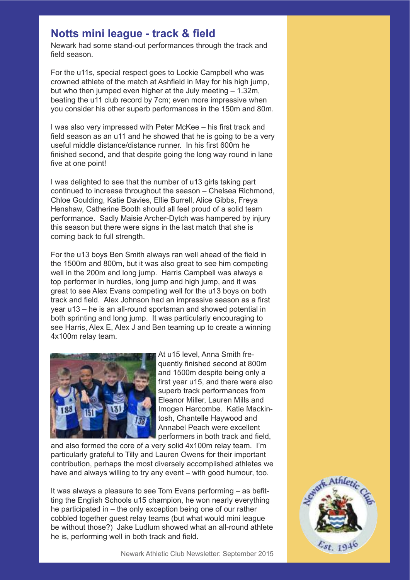#### **Notts mini league - track & field**

Newark had some stand-out performances through the track and field season.

For the u11s, special respect goes to Lockie Campbell who was crowned athlete of the match at Ashfield in May for his high jump, but who then jumped even higher at the July meeting – 1.32m, beating the u11 club record by 7cm; even more impressive when you consider his other superb performances in the 150m and 80m.

I was also very impressed with Peter McKee – his first track and field season as an u11 and he showed that he is going to be a very useful middle distance/distance runner. In his first 600m he finished second, and that despite going the long way round in lane five at one point!

I was delighted to see that the number of u13 girls taking part continued to increase throughout the season – Chelsea Richmond, Chloe Goulding, Katie Davies, Ellie Burrell, Alice Gibbs, Freya Henshaw, Catherine Booth should all feel proud of a solid team performance. Sadly Maisie Archer-Dytch was hampered by injury this season but there were signs in the last match that she is coming back to full strength.

For the u13 boys Ben Smith always ran well ahead of the field in the 1500m and 800m, but it was also great to see him competing well in the 200m and long jump. Harris Campbell was always a top performer in hurdles, long jump and high jump, and it was great to see Alex Evans competing well for the u13 boys on both track and field. Alex Johnson had an impressive season as a first year u13 – he is an all-round sportsman and showed potential in both sprinting and long jump. It was particularly encouraging to see Harris, Alex E, Alex J and Ben teaming up to create a winning 4x100m relay team.



At u15 level, Anna Smith frequently finished second at 800m and 1500m despite being only a first year u15, and there were also superb track performances from Eleanor Miller, Lauren Mills and Imogen Harcombe. Katie Mackintosh, Chantelle Haywood and Annabel Peach were excellent performers in both track and field,

and also formed the core of a very solid 4x100m relay team. I'm particularly grateful to Tilly and Lauren Owens for their important contribution, perhaps the most diversely accomplished athletes we have and always willing to try any event – with good humour, too.

It was always a pleasure to see Tom Evans performing – as befitting the English Schools u15 champion, he won nearly everything he participated in – the only exception being one of our rather cobbled together guest relay teams (but what would mini league be without those?) Jake Ludlum showed what an all-round athlete he is, performing well in both track and field.

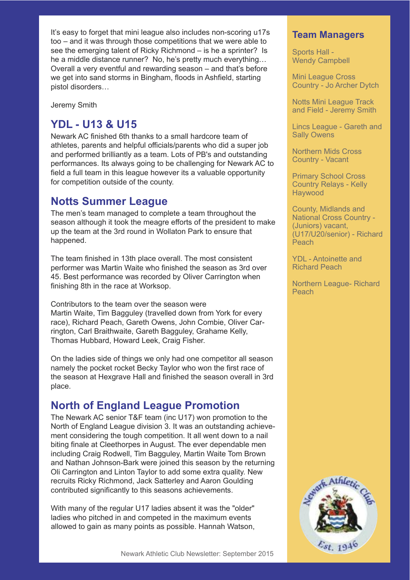It's easy to forget that mini league also includes non-scoring u17s too – and it was through those competitions that we were able to see the emerging talent of Ricky Richmond – is he a sprinter? Is he a middle distance runner? No, he's pretty much everything… Overall a very eventful and rewarding season – and that's before we get into sand storms in Bingham, floods in Ashfield, starting pistol disorders…

Jeremy Smith

### **YDL - U13 & U15**

Newark AC finished 6th thanks to a small hardcore team of athletes, parents and helpful officials/parents who did a super job and performed brilliantly as a team. Lots of PB's and outstanding performances. Its always going to be challenging for Newark AC to field a full team in this league however its a valuable opportunity for competition outside of the county.

#### **Notts Summer League**

The men's team managed to complete a team throughout the season although it took the meagre efforts of the president to make up the team at the 3rd round in Wollaton Park to ensure that happened.

The team finished in 13th place overall. The most consistent performer was Martin Waite who finished the season as 3rd over 45. Best performance was recorded by Oliver Carrington when finishing 8th in the race at Worksop.

Contributors to the team over the season were Martin Waite, Tim Bagguley (travelled down from York for every race), Richard Peach, Gareth Owens, John Combie, Oliver Carrington, Carl Braithwaite, Gareth Bagguley, Grahame Kelly, Thomas Hubbard, Howard Leek, Craig Fisher.

On the ladies side of things we only had one competitor all season namely the pocket rocket Becky Taylor who won the first race of the season at Hexgrave Hall and finished the season overall in 3rd place.

### **North of England League Promotion**

The Newark AC senior T&F team (inc U17) won promotion to the North of England League division 3. It was an outstanding achievement considering the tough competition. It all went down to a nail biting finale at Cleethorpes in August. The ever dependable men including Craig Rodwell, Tim Bagguley, Martin Waite Tom Brown and Nathan Johnson-Bark were joined this season by the returning Oli Carrington and Linton Taylor to add some extra quality. New recruits Ricky Richmond, Jack Satterley and Aaron Goulding contributed significantly to this seasons achievements.

With many of the regular U17 ladies absent it was the "older" ladies who pitched in and competed in the maximum events allowed to gain as many points as possible. Hannah Watson,

#### **Team Managers**

Sports Hall - Wendy Campbell

Mini League Cross Country - Jo Archer Dytch

Notts Mini League Track and Field - Jeremy Smith

Lincs League - Gareth and Sally Owens

Northern Mids Cross Country - Vacant

Primary School Cross Country Relays - Kelly **Haywood** 

County, Midlands and National Cross Country - (Juniors) vacant, (U17/U20/senior) - Richard Peach

YDL - Antoinette and Richard Peach

Northern League- Richard Peach

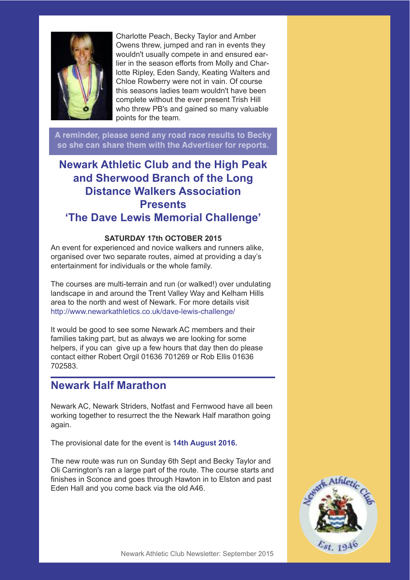

Charlotte Peach, Becky Taylor and Amber Owens threw, jumped and ran in events they wouldn't usually compete in and ensured earlier in the season efforts from Molly and Charlotte Ripley, Eden Sandy, Keating Walters and Chloe Rowberry were not in vain. Of course this seasons ladies team wouldn't have been complete without the ever present Trish Hill who threw PB's and gained so many valuable points for the team.

A reminder, please send any road race results to Becky so she can share them with the Advertiser for reports.

### **Newark Athletic Club and the High Peak and Sherwood Branch of the Long Distance Walkers Association Presents 'The Dave Lewis Memorial Challenge'**

#### **SATURDAY 17th OCTOBER 2015**

An event for experienced and novice walkers and runners alike, organised over two separate routes, aimed at providing a day's entertainment for individuals or the whole family.

The courses are multi-terrain and run (or walked!) over undulating landscape in and around the Trent Valley Way and Kelham Hills area to the north and west of Newark. For more details visit http://www.newarkathletics.co.uk/dave-lewis-challenge/

It would be good to see some Newark AC members and their families taking part, but as always we are looking for some helpers, if you can give up a few hours that day then do please contact either Robert Orgil 01636 701269 or Rob Ellis 01636 702583.

#### **Newark Half Marathon**

Newark AC, Newark Striders, Notfast and Fernwood have all been working together to resurrect the the Newark Half marathon going again.

The provisional date for the event is **14th August 2016.**

The new route was run on Sunday 6th Sept and Becky Taylor and Oli Carrington's ran a large part of the route. The course starts and finishes in Sconce and goes through Hawton in to Elston and past Eden Hall and you come back via the old A46.

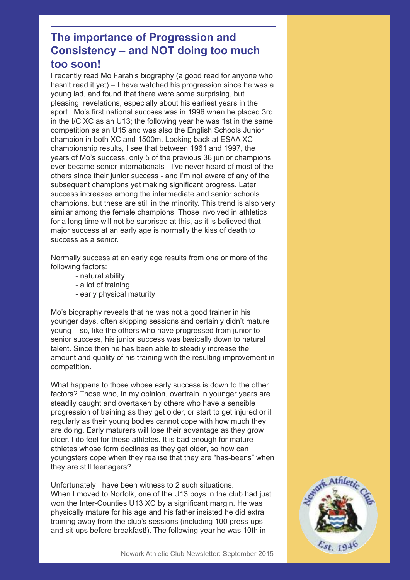### **The importance of Progression and Consistency – and NOT doing too much too soon!**

I recently read Mo Farah's biography (a good read for anyone who hasn't read it yet) – I have watched his progression since he was a young lad, and found that there were some surprising, but pleasing, revelations, especially about his earliest years in the sport. Mo's first national success was in 1996 when he placed 3rd in the I/C XC as an U13; the following year he was 1st in the same competition as an U15 and was also the English Schools Junior champion in both XC and 1500m. Looking back at ESAA XC championship results, I see that between 1961 and 1997, the years of Mo's success, only 5 of the previous 36 junior champions ever became senior internationals - I've never heard of most of the others since their junior success - and I'm not aware of any of the subsequent champions yet making significant progress. Later success increases among the intermediate and senior schools champions, but these are still in the minority. This trend is also very similar among the female champions. Those involved in athletics for a long time will not be surprised at this, as it is believed that major success at an early age is normally the kiss of death to success as a senior.

Normally success at an early age results from one or more of the following factors:

- natural ability
- a lot of training
- early physical maturity

Mo's biography reveals that he was not a good trainer in his younger days, often skipping sessions and certainly didn't mature young – so, like the others who have progressed from junior to senior success, his junior success was basically down to natural talent. Since then he has been able to steadily increase the amount and quality of his training with the resulting improvement in competition.

What happens to those whose early success is down to the other factors? Those who, in my opinion, overtrain in younger years are steadily caught and overtaken by others who have a sensible progression of training as they get older, or start to get injured or ill regularly as their young bodies cannot cope with how much they are doing. Early maturers will lose their advantage as they grow older. I do feel for these athletes. It is bad enough for mature athletes whose form declines as they get older, so how can youngsters cope when they realise that they are "has-beens" when they are still teenagers?

Unfortunately I have been witness to 2 such situations. When I moved to Norfolk, one of the U13 boys in the club had just won the Inter-Counties U13 XC by a significant margin. He was physically mature for his age and his father insisted he did extra training away from the club's sessions (including 100 press-ups and sit-ups before breakfast!). The following year he was 10th in

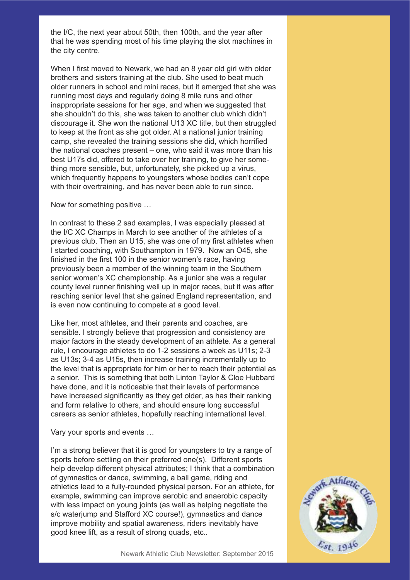the I/C, the next year about 50th, then 100th, and the year after that he was spending most of his time playing the slot machines in the city centre.

When I first moved to Newark, we had an 8 year old girl with older brothers and sisters training at the club. She used to beat much older runners in school and mini races, but it emerged that she was running most days and regularly doing 8 mile runs and other inappropriate sessions for her age, and when we suggested that she shouldn't do this, she was taken to another club which didn't discourage it. She won the national U13 XC title, but then struggled to keep at the front as she got older. At a national junior training camp, she revealed the training sessions she did, which horrified the national coaches present – one, who said it was more than his best U17s did, offered to take over her training, to give her something more sensible, but, unfortunately, she picked up a virus, which frequently happens to youngsters whose bodies can't cope with their overtraining, and has never been able to run since.

Now for something positive …

In contrast to these 2 sad examples, I was especially pleased at the I/C XC Champs in March to see another of the athletes of a previous club. Then an U15, she was one of my first athletes when I started coaching, with Southampton in 1979. Now an O45, she finished in the first 100 in the senior women's race, having previously been a member of the winning team in the Southern senior women's XC championship. As a junior she was a regular county level runner finishing well up in major races, but it was after reaching senior level that she gained England representation, and is even now continuing to compete at a good level.

Like her, most athletes, and their parents and coaches, are sensible. I strongly believe that progression and consistency are major factors in the steady development of an athlete. As a general rule, I encourage athletes to do 1-2 sessions a week as U11s; 2-3 as U13s; 3-4 as U15s, then increase training incrementally up to the level that is appropriate for him or her to reach their potential as a senior. This is something that both Linton Taylor & Cloe Hubbard have done, and it is noticeable that their levels of performance have increased significantly as they get older, as has their ranking and form relative to others, and should ensure long successful careers as senior athletes, hopefully reaching international level.

Vary your sports and events …

I'm a strong believer that it is good for youngsters to try a range of sports before settling on their preferred one(s). Different sports help develop different physical attributes; I think that a combination of gymnastics or dance, swimming, a ball game, riding and athletics lead to a fully-rounded physical person. For an athlete, for example, swimming can improve aerobic and anaerobic capacity with less impact on young joints (as well as helping negotiate the s/c waterjump and Stafford XC course!), gymnastics and dance improve mobility and spatial awareness, riders inevitably have good knee lift, as a result of strong quads, etc..

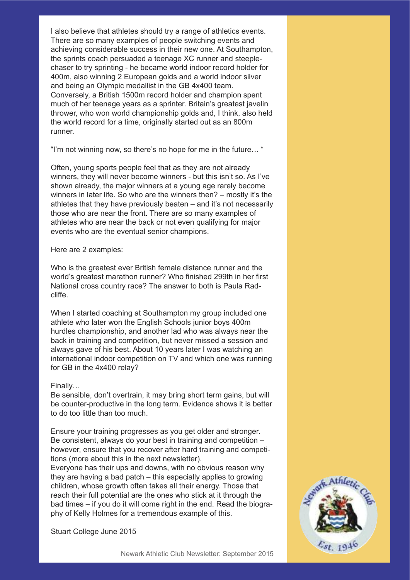I also believe that athletes should try a range of athletics events. There are so many examples of people switching events and achieving considerable success in their new one. At Southampton, the sprints coach persuaded a teenage XC runner and steeplechaser to try sprinting - he became world indoor record holder for 400m, also winning 2 European golds and a world indoor silver and being an Olympic medallist in the GB 4x400 team. Conversely, a British 1500m record holder and champion spent much of her teenage years as a sprinter. Britain's greatest javelin thrower, who won world championship golds and, I think, also held the world record for a time, originally started out as an 800m runner.

"I'm not winning now, so there's no hope for me in the future… "

Often, young sports people feel that as they are not already winners, they will never become winners - but this isn't so. As I've shown already, the major winners at a young age rarely become winners in later life. So who are the winners then? – mostly it's the athletes that they have previously beaten – and it's not necessarily those who are near the front. There are so many examples of athletes who are near the back or not even qualifying for major events who are the eventual senior champions.

Here are 2 examples:

Who is the greatest ever British female distance runner and the world's greatest marathon runner? Who finished 299th in her first National cross country race? The answer to both is Paula Radcliffe.

When I started coaching at Southampton my group included one athlete who later won the English Schools junior boys 400m hurdles championship, and another lad who was always near the back in training and competition, but never missed a session and always gave of his best. About 10 years later I was watching an international indoor competition on TV and which one was running for GB in the 4x400 relay?

#### Finally…

Be sensible, don't overtrain, it may bring short term gains, but will be counter-productive in the long term. Evidence shows it is better to do too little than too much.

Ensure your training progresses as you get older and stronger. Be consistent, always do your best in training and competition – however, ensure that you recover after hard training and competitions (more about this in the next newsletter).

Everyone has their ups and downs, with no obvious reason why they are having a bad patch – this especially applies to growing children, whose growth often takes all their energy. Those that reach their full potential are the ones who stick at it through the bad times – if you do it will come right in the end. Read the biography of Kelly Holmes for a tremendous example of this.

Stuart College June 2015

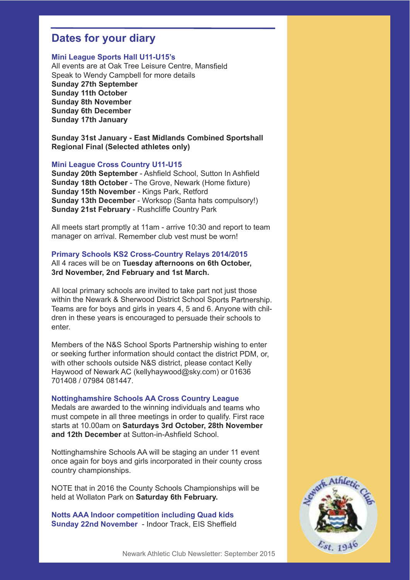#### **Dates for your diary**

#### **Mini League Sports Hall U11-U15's**

All events are at Oak Tree Leisure Centre, Mansfield Speak to Wendy Campbell for more details **Sunday 27th September Sunday 11th October Sunday 8th November Sunday 6th December Sunday 17th January**

**Sunday 31st January - East Midlands Combined Sportshall Regional Final (Selected athletes only)**

#### **Mini League Cross Country U11-U15**

**Sunday 20th September** - Ashfield School, Sutton In Ashfield **Sunday 18th October** - The Grove, Newark (Home fixture) **Sunday 15th November** - Kings Park, Retford **Sunday 13th December** - Worksop (Santa hats compulsory!) **Sunday 21st February** - Rushcliffe Country Park

All meets start promptly at 11am - arrive 10:30 and report to team manager on arrival. Remember club vest must be worn!

#### **Primary Schools KS2 Cross-Country Relays 2014/2015**

All 4 races will be on **Tuesday afternoons on 6th October, 3rd November, 2nd February and 1st March.**

All local primary schools are invited to take part not just those within the Newark & Sherwood District School Sports Partnership. Teams are for boys and girls in years 4, 5 and 6. Anyone with children in these years is encouraged to persuade their schools to enter.

Members of the N&S School Sports Partnership wishing to enter or seeking further information should contact the district PDM, or, with other schools outside N&S district, please contact Kelly Haywood of Newark AC (kellyhaywood@sky.com) or 01636 701408 / 07984 081447.

#### **Nottinghamshire Schools AA Cross Country League**

Medals are awarded to the winning individuals and teams who must compete in all three meetings in order to qualify. First race starts at 10.00am on **Saturdays 3rd October, 28th November and 12th December** at Sutton-in-Ashfield School.

Nottinghamshire Schools AA will be staging an under 11 event once again for boys and girls incorporated in their county cross country championships.

NOTE that in 2016 the County Schools Championships will be held at Wollaton Park on **Saturday 6th February.**

**Notts AAA Indoor competition including Quad kids Sunday 22nd November** - Indoor Track, EIS Sheffield